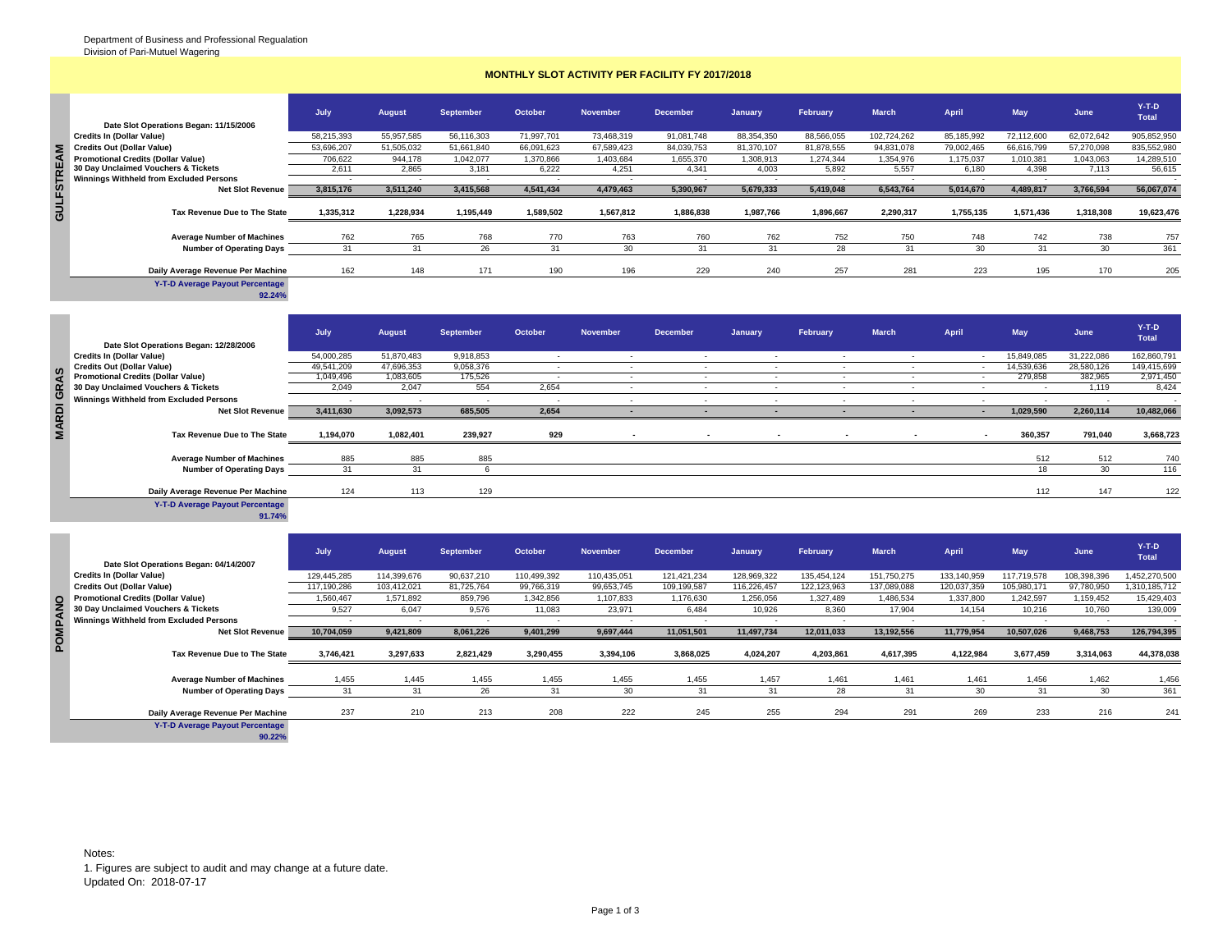## **MONTHLY SLOT ACTIVITY PER FACILITY FY 2017/2018**

|              | Date Slot Operations Began: 11/15/2006         | July       | <b>August</b> | <b>September</b> | October    | <b>November</b>          | <b>December</b> | January    | February   | <b>March</b> | April      | <b>May</b> | June                     | $Y-T-D$<br><b>Total</b> |
|--------------|------------------------------------------------|------------|---------------|------------------|------------|--------------------------|-----------------|------------|------------|--------------|------------|------------|--------------------------|-------------------------|
|              | Credits In (Dollar Value)                      | 58.215.393 | 55,957,585    | 56,116,303       | 71,997,701 | 73,468,319               | 91,081,748      | 88,354,350 | 88,566,055 | 102,724,262  | 85,185,992 | 72,112,600 | 62,072,642               | 905,852,950             |
| $\mathbf{z}$ | Credits Out (Dollar Value)                     | 53,696,207 | 51,505,032    | 51,661,840       | 66,091,623 | 67,589,423               | 84,039,753      | 81,370,107 | 81,878,555 | 94,831,078   | 79,002,465 | 66,616,799 | 57,270,098               | 835,552,980             |
|              | <b>Promotional Credits (Dollar Value)</b>      | 706,622    | 944,178       | 1,042,077        | 1,370,866  | 403,684                  | 1,655,370       | 1,308,913  | 1,274,344  | 1,354,976    | 1,175,037  | 1,010,38   | 1,043,063                | 14,289,510              |
| <b>TREA</b>  | 30 Day Unclaimed Vouchers & Tickets            | 2.611      | 2.865         | 3,181            | 6,222      | 4,251                    | 4,341           | 4,003      | 5,892      | 5,557        | 6.180      | 4,398      | 7,113                    | 56,615                  |
|              | <b>Winnings Withheld from Excluded Persons</b> |            |               | . .              | $\sim$     | $\overline{\phantom{a}}$ |                 |            |            |              |            |            | $\overline{\phantom{a}}$ |                         |
|              | <b>Net Slot Revenue</b>                        | 3,815,176  | 3,511,240     | 3,415,568        | 4,541,434  | 4,479,463                | 5,390,967       | 5,679,333  | 5,419,048  | 6,543,764    | 5,014,670  | 4,489,817  | 3,766,594                | 56,067,074              |
| GULFST       | Tax Revenue Due to The State                   | 1,335,312  | 1,228,934     | 1,195,449        | 1,589,502  | 1,567,812                | 1,886,838       | 1,987,766  | 1,896,667  | 2,290,317    | 1.755.135  | 1,571,436  | 1,318,308                | 19,623,476              |
|              | <b>Average Number of Machines</b>              | 762        | 765           | 768              | 770        | 763                      | 760             | 762        | 752        | 750          | 748        | 742        | 738                      | 757                     |
|              | <b>Number of Operating Days</b>                |            | 31            | 26               |            | 30                       | 31              | 31         | 28         | 3'           | 30         | $\sim$     | 30                       | 361                     |
|              | Daily Average Revenue Per Machine              | 162        | 148           | 171              | 190        | 196                      | 229             | 240        | 257        | 281          | 223        | 195        | 170                      | 205                     |

**PN CPAC** 

|                                           | July                     | August     | September | October                  | <b>November</b> | <b>December</b>          | January | February                 | <b>March</b> | April  | May        | June       | $Y-T-D$<br><b>Total</b> |
|-------------------------------------------|--------------------------|------------|-----------|--------------------------|-----------------|--------------------------|---------|--------------------------|--------------|--------|------------|------------|-------------------------|
| Date Slot Operations Began: 12/28/2006    |                          |            |           |                          |                 |                          |         |                          |              |        |            |            |                         |
| <b>Credits In (Dollar Value)</b>          | 54,000,285               | 51,870,483 | 9,918,853 | $\sim$                   | $\sim$          | $\sim$                   | $\sim$  | $\sim$                   | . .          | . .    | 15,849,085 | 31,222,086 | 162,860,791             |
| <b>Credits Out (Dollar Value)</b>         | 49,541,209               | 47,696,353 | 9,058,376 |                          |                 |                          | ٠.      |                          |              | . .    | 14,539,636 | 28,580,126 | 149,415,699             |
| <b>Promotional Credits (Dollar Value)</b> | 1,049,496                | 1,083,605  | 175,526   |                          |                 |                          |         |                          |              | . .    | 279,858    | 382,965    | 2,971,450               |
| 30 Day Unclaimed Vouchers & Tickets       | 2,049                    | 2,047      | 554       | 2,654                    |                 |                          |         |                          |              |        |            | 1,119      | 8,424                   |
| Winnings Withheld from Excluded Persons   | $\overline{\phantom{a}}$ |            | $\sim$    | $\overline{\phantom{a}}$ |                 |                          | $\sim$  |                          |              |        |            |            |                         |
| <b>Net Slot Revenue</b>                   | 3,411,630                | 3,092,573  | 685,505   | 2,654                    |                 |                          |         | $\overline{\phantom{a}}$ |              | $\sim$ | 1,029,590  | 2,260,114  | 10,482,066              |
| Tax Revenue Due to The State              | 1,194,070                | 1,082,401  | 239,927   | 929                      |                 | $\overline{\phantom{a}}$ | $\sim$  | $\blacksquare$           |              | $\sim$ | 360,357    | 791,040    | 3,668,723               |
| <b>Average Number of Machines</b>         | 885                      | 885        | 885       |                          |                 |                          |         |                          |              |        | 512        | 512        | 740                     |
| <b>Number of Operating Days</b>           | 31                       | 31         |           |                          |                 |                          |         |                          |              |        | 18         | 30         | 116                     |
| Daily Average Revenue Per Machine         | 124                      | 113        | 129       |                          |                 |                          |         |                          |              |        | 112        | 147        | 122                     |
| Y-T-D Average Payout Percentage<br>91.74% |                          |            |           |                          |                 |                          |         |                          |              |        |            |            |                         |

|   | <b>Credits Out (Dollar Value)</b>                | 53,696,207     | 51,505,032               | 51,661,840       | 66,091,623               | 67,589,423               | 84,039,753      | 81,370,107   | 81,878,555               | 94,831,078               | 79,002,465   | 66,616,799               | 57,270,098  | 835,552,980             |
|---|--------------------------------------------------|----------------|--------------------------|------------------|--------------------------|--------------------------|-----------------|--------------|--------------------------|--------------------------|--------------|--------------------------|-------------|-------------------------|
|   | <b>Promotional Credits (Dollar Value)</b>        | 706,622        | 944,178                  | 1,042,077        | 1,370,866                | 1,403,684                | 1,655,370       | 1,308,913    | 1,274,344                | 1,354,976                | 1,175,037    | 1,010,381                | 1,043,063   | 14,289,510              |
|   | 30 Day Unclaimed Vouchers & Tickets              | 2,611          | 2,865                    | 3,181            | 6,222                    | 4,251                    | 4,341           | 4,003        | 5,892                    | 5,557                    | 6,180        | 4,398                    | 7,113       | 56,615                  |
|   | Winnings Withheld from Excluded Persons          | $\blacksquare$ | $\overline{\phantom{a}}$ |                  | $\overline{\phantom{a}}$ | $\overline{\phantom{a}}$ | ٠               | $\sim$       | $\sim$                   | $\overline{\phantom{a}}$ | $\sim$       | $\overline{\phantom{a}}$ | $\sim$      |                         |
|   | <b>Net Slot Revenue</b>                          | 3,815,176      | 3,511,240                | 3,415,568        | 4,541,434                | 4,479,463                | 5,390,967       | 5,679,333    | 5,419,048                | 6,543,764                | 5,014,670    | 4,489,817                | 3,766,594   | 56,067,074              |
|   | Tax Revenue Due to The State                     | 1,335,312      | 1,228,934                | 1,195,449        | 1,589,502                | 1,567,812                | 1,886,838       | 1,987,766    | 1,896,667                | 2,290,317                | 1,755,135    | 1,571,436                | 1,318,308   | 19,623,476              |
|   | <b>Average Number of Machines</b>                | 762            | 765                      | 768              | 770                      | 763                      | 760             | 762          | 752                      | 750                      | 748          | 742                      | 738         | 757                     |
|   | <b>Number of Operating Days</b>                  | 31             | 31                       | 26               | 31                       | 30                       | 31              | 31           | 28                       | 31                       | 30           | 31                       | 30          | 361                     |
|   |                                                  |                |                          |                  |                          |                          |                 |              |                          |                          |              |                          |             |                         |
|   | Daily Average Revenue Per Machine                | 162            | 148                      | 171              | 190                      | 196                      | 229             | 240          | 257                      | 281                      | 223          | 195                      | 170         | 205                     |
|   | <b>Y-T-D Average Payout Percentage</b><br>92.24% |                |                          |                  |                          |                          |                 |              |                          |                          |              |                          |             |                         |
|   |                                                  |                |                          |                  |                          |                          |                 |              |                          |                          |              |                          |             |                         |
|   | Date Slot Operations Began: 12/28/2006           | July           | <b>August</b>            | <b>September</b> | October                  | <b>November</b>          | <b>December</b> | January      | February                 | <b>March</b>             | <b>April</b> | <b>May</b>               | June        | $Y-T-D$<br><b>Total</b> |
|   | <b>Credits In (Dollar Value)</b>                 | 54,000,285     | 51,870,483               | 9,918,853        | $\sim$                   | $\sim$                   | $\sim$          | $\sim$       | $\sim$                   | $\sim$                   | $\sim$       | 15,849,085               | 31,222,086  | 162,860,791             |
|   | <b>Credits Out (Dollar Value)</b>                | 49,541,209     | 47,696,353               | 9,058,376        | $\sim$                   | $\overline{\phantom{a}}$ | $\sim$          | $\sim$       | $\overline{\phantom{a}}$ | $\sim$                   | $\sim$       | 14,539,636               | 28,580,126  | 149,415,699             |
|   | <b>Promotional Credits (Dollar Value)</b>        | 1,049,496      | 1,083,605                | 175,526          | $\overline{\phantom{a}}$ | $\overline{\phantom{a}}$ | $\sim$          | $\sim$       | $\overline{\phantom{a}}$ | $\overline{\phantom{a}}$ | $\sim$       | 279,858                  | 382,965     | 2,971,450               |
|   | 30 Day Unclaimed Vouchers & Tickets              | 2,049          | 2,047                    | 554              | 2,654                    | $\sim$                   | $\sim$          | $\sim$       | $\sim$                   | $\sim$                   | $\sim$       | $\sim$                   | 1,119       | 8,424                   |
|   | <b>Winnings Withheld from Excluded Persons</b>   |                |                          |                  |                          | $\sim$                   | $\sim$          | $\mathbf{r}$ | $\sim$                   | $\overline{\phantom{a}}$ | $\sim$       |                          |             |                         |
|   | <b>Net Slot Revenue</b>                          | 3,411,630      | 3,092,573                | 685,505          | 2,654                    | $\sim$                   | $\sim$          | $\sim$       | $\sim$                   | $\blacksquare$           | $\sim$       | 1,029,590                | 2,260,114   | 10,482,066              |
|   | Tax Revenue Due to The State                     | 1,194,070      | 1,082,401                | 239,927          | 929                      | $\blacksquare$           |                 |              |                          |                          |              | 360,357                  | 791,040     | 3,668,723               |
|   | <b>Average Number of Machines</b>                | 885            | 885                      | 885              |                          |                          |                 |              |                          |                          |              | 512                      | 512         | 740                     |
|   | <b>Number of Operating Days</b>                  | 31             | 31                       | 6                |                          |                          |                 |              |                          |                          |              | 18                       | 30          | 116                     |
|   |                                                  |                |                          |                  |                          |                          |                 |              |                          |                          |              |                          |             |                         |
|   | Daily Average Revenue Per Machine                | 124            | 113                      | 129              |                          |                          |                 |              |                          |                          |              | 112                      | 147         | 122                     |
|   | <b>Y-T-D Average Payout Percentage</b><br>91.74% |                |                          |                  |                          |                          |                 |              |                          |                          |              |                          |             |                         |
|   |                                                  |                |                          |                  |                          |                          |                 |              |                          |                          |              |                          |             | $Y-T-D$                 |
|   | Date Slot Operations Began: 04/14/2007           | July           | <b>August</b>            | <b>September</b> | October                  | <b>November</b>          | <b>December</b> | January      | February                 | <b>March</b>             | <b>April</b> | May                      | June        | <b>Total</b>            |
|   | <b>Credits In (Dollar Value)</b>                 | 129,445,285    | 114,399,676              | 90,637,210       | 110,499,392              | 110,435,051              | 121,421,234     | 128,969,322  | 135,454,124              | 151,750,275              | 133,140,959  | 117,719,578              | 108,398,396 | 1,452,270,500           |
|   | <b>Credits Out (Dollar Value)</b>                | 117,190,286    | 103,412,021              | 81,725,764       | 99,766,319               | 99,653,745               | 109,199,587     | 116,226,457  | 122,123,963              | 137,089,088              | 120,037,359  | 105,980,171              | 97,780,950  | 1,310,185,712           |
|   | <b>Promotional Credits (Dollar Value)</b>        | 1,560,467      | 1,571,892                | 859,796          | 1,342,856                | 1,107,833                | 1,176,630       | 1,256,056    | 1,327,489                | 1,486,534                | 1,337,800    | 1,242,597                | 1,159,452   | 15,429,403              |
|   | 30 Day Unclaimed Vouchers & Tickets              | 9,527          | 6,047                    | 9,576            | 11,083                   | 23,971                   | 6,484           | 10,926       | 8,360                    | 17,904                   | 14,154       | 10,216                   | 10,760      | 139,009                 |
|   | Winnings Withheld from Excluded Persons          |                |                          |                  | $\lambda$                |                          |                 |              |                          |                          |              |                          |             |                         |
|   | <b>Net Slot Revenue</b>                          | 10,704,059     | 9,421,809                | 8,061,226        | 9,401,299                | 9,697,444                | 11,051,501      | 11,497,734   | 12,011,033               | 13,192,556               | 11,779,954   | 10,507,026               | 9,468,753   | 126,794,395             |
| O | Tax Revenue Due to The State                     | 3,746,421      | 3,297,633                | 2,821,429        | 3,290,455                | 3,394,106                | 3,868,025       | 4.024.207    | 4,203,861                | 4,617,395                | 4,122,984    | 3,677,459                | 3,314,063   | 44,378,038              |
|   |                                                  |                |                          |                  |                          |                          |                 |              |                          |                          |              |                          |             |                         |
|   | <b>Average Number of Machines</b>                | 1,455          | 1,445                    | 1,455            | 1,455                    | 1,455                    | 1,455           | 1,457        | 1,461                    | 1,461                    | 1,461        | 1,456                    | 1,462       | 1,456                   |
|   | <b>Number of Operating Days</b>                  | 31             | 31                       | 26               | 31                       | 30                       | 31              | 31           | 28                       | 31                       | 30           | 31                       | 30          | 361                     |
|   |                                                  |                |                          |                  |                          |                          |                 |              |                          |                          |              |                          |             |                         |
|   | Daily Average Revenue Per Machine                | 237            | 210                      | 213              | 208                      | 222                      | 245             | 255          | 294                      | 291                      | 269          | 233                      | 216         | 241                     |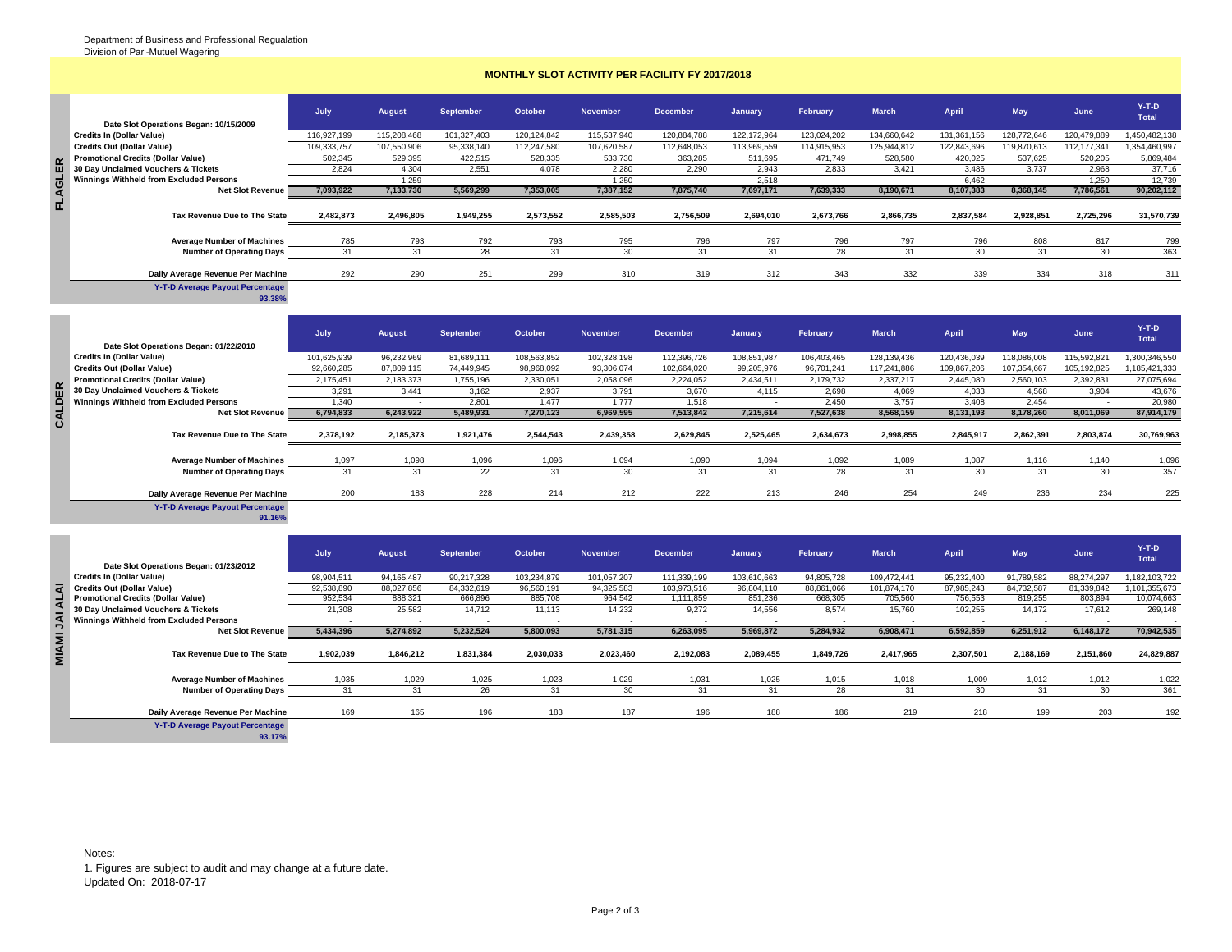**FLAGLER** 

 $\ddot{\cdot}$ 

and a

## **MONTHLY SLOT ACTIVITY PER FACILITY FY 2017/2018**

|                                           | July        | <b>August</b> | <b>September</b> | October     | <b>November</b> | <b>December</b> | January     | February    | <b>March</b> | April       | May         | June        | $Y-T-D$<br><b>Total</b> |
|-------------------------------------------|-------------|---------------|------------------|-------------|-----------------|-----------------|-------------|-------------|--------------|-------------|-------------|-------------|-------------------------|
| Date Slot Operations Began: 10/15/2009    |             |               |                  |             |                 |                 |             |             |              |             |             |             |                         |
| <b>Credits In (Dollar Value)</b>          | 116.927.199 | 115.208.468   | 101.327.403      | 120.124.842 | 115,537,940     | 120.884.788     | 122.172.964 | 123.024.202 | 134.660.642  | 131,361,156 | 128.772.646 | 120.479.889 | 1,450,482,138           |
| <b>Credits Out (Dollar Value)</b>         | 109.333.757 | 107,550,906   | 95,338,140       | 112.247.580 | 107,620,587     | 112,648,053     | 113,969,559 | 114,915,953 | 125.944.812  | 122,843,696 | 119.870.613 | 112,177,341 | 1,354,460,997           |
| <b>Promotional Credits (Dollar Value)</b> | 502,345     | 529.395       | 422.515          | 528,335     | 533,730         | 363.285         | 511.695     | 471.749     | 528,580      | 420.025     | 537.625     | 520,205     | 5,869,484               |
| 30 Day Unclaimed Vouchers & Tickets       | 2.824       | 4.304         | 2,551            | 4,078       | 2.280           | 2.290           | 2.943       | 2.833       | 3,421        | 3.486       | 3.737       | 2.968       | 37,716                  |
| Winnings Withheld from Excluded Persons   |             | 1,259         |                  |             | 1,250           |                 | 2,518       |             |              | 6,462       |             | 1,250       | 12,739                  |
| <b>Net Slot Revenue</b>                   | 7,093,922   | 7,133,730     | 5,569,299        | 7,353,005   | 7,387,152       | 7,875,740       | 7,697,171   | 7,639,333   | 8,190,671    | 8,107,383   | 8,368,145   | 7,786,561   | 90,202,112              |
|                                           |             |               |                  |             |                 |                 |             |             |              |             |             |             |                         |
| Tax Revenue Due to The State              | 2,482,873   | 2,496,805     | 1,949,255        | 2.573.552   | 2,585,503       | 2,756,509       | 2,694,010   | 2,673,766   | 2,866,735    | 2,837,584   | 2,928,851   | 2,725,296   | 31,570,739              |
|                                           |             |               |                  |             |                 |                 |             |             |              |             |             |             |                         |
| <b>Average Number of Machines</b>         | 785         | 793           | 792              | 793         | 795             | 796             | 797         | 796         | 797          | 796         | 808         | 817         | 799                     |
| <b>Number of Operating Days</b>           | 31          | 31            | 28               | 31          | 30              | 31              | 31          | 28          | 31           | 30          | 31          | 30          | 363                     |
|                                           |             |               |                  |             |                 |                 |             |             |              |             |             |             |                         |
| Daily Average Revenue Per Machine         | 292         | 290           | 251              | 299         | 310             | 319             | 312         | 343         | 332          | 339         | 334         | 318         | 311                     |

| Date Slot Operations Began: 01/22/2010    | July        | <b>August</b> | September  | October     | <b>November</b> | <b>December</b> | January     | February    | <b>March</b> | <b>April</b> | <b>May</b>  | June          | $Y-T-D$<br><b>Total</b> |
|-------------------------------------------|-------------|---------------|------------|-------------|-----------------|-----------------|-------------|-------------|--------------|--------------|-------------|---------------|-------------------------|
| Credits In (Dollar Value)                 | 101,625,939 | 96,232,969    | 81,689,111 | 108,563,852 | 102,328,198     | 112,396,726     | 108,851,987 | 106,403,465 | 128,139,436  | 120,436,039  | 118,086,008 | 115,592,821   | 1,300,346,550           |
| <b>Credits Out (Dollar Value)</b>         | 92,660,285  | 87,809,115    | 74,449,945 | 98,968,092  | 93,306,074      | 102,664,020     | 99,205,976  | 96,701,241  | 117,241,886  | 109,867,206  | 107,354,667 | 105, 192, 825 | ,185,421,333            |
| <b>Promotional Credits (Dollar Value)</b> | 2,175,451   | 2,183,373     | 1,755,196  | 2,330,051   | 2,058,096       | 2,224,052       | 2.434.511   | 2,179,732   | 2,337,217    | 2,445,080    | 2,560,103   | 2,392,831     | 27,075,694              |
| 30 Day Unclaimed Vouchers & Tickets       | 3,291       | 3,441         | 3,162      | 2,937       | 3,791           | 3,670           | 4,115       | 2,698       | 4,069        | 4,033        | 4.568       | 3,904         | 43,676                  |
| Winnings Withheld from Excluded Persons   | 1,340       |               | 2.801      | 1,477       | 1.777           | 1,518           |             | 2,450       | 3,757        | 3.408        | 2.454       |               | 20,980                  |
| <b>Net Slot Revenue</b>                   | 6,794,833   | 6,243,922     | 5,489,931  | 7,270,123   | 6,969,595       | 7,513,842       | 7,215,614   | 7,527,638   | 8,568,159    | 8,131,193    | 8,178,260   | 8,011,069     | 87,914,179              |
| Tax Revenue Due to The State              | 2,378,192   | 2,185,373     | 1,921,476  | 2,544,543   | 2,439,358       | 2,629,845       | 2,525,465   | 2,634,673   | 2,998,855    | 2,845,917    | 2,862,391   | 2,803,874     | 30,769,963              |
| <b>Average Number of Machines</b>         | 1,097       | 1.098         | 1,096      | 1,096       | 1,094           | 1,090           | 1.094       | 1,092       | 1,089        | 1,087        | 1.116       | 1.140         | 1,096                   |
| <b>Number of Operating Days</b>           | $\Omega$    |               |            |             |                 | 31              | 31          | 28          | 31           | 30           |             |               | 357                     |
|                                           |             | 31            | 22         | 31          | 30              |                 |             |             |              |              | 31          | 30            |                         |
| Daily Average Revenue Per Machine         | 200         | 183           | 228        | 214         | 212             | 222             | 213         | 246         | 254          | 249          | 236         | 234           | 225                     |

| <b>Promotional Credits (Dollar Value)</b>                                   | 502,345                  | 529,395       | 422,515          | 528,335     | 533,730                  | 363,285         | 511,695        | 471,749     | 528,580      | 420,025      |             | 520,205                  | 5,869,484               |
|-----------------------------------------------------------------------------|--------------------------|---------------|------------------|-------------|--------------------------|-----------------|----------------|-------------|--------------|--------------|-------------|--------------------------|-------------------------|
| 30 Day Unclaimed Vouchers & Tickets                                         | 2,824                    | 4,304         | 2,551            | 4,078       | 2,280                    | 2,290           | 2,943          | 2,833       | 3,421        | 3,486        | 3.737       | 2.968                    | 37,716                  |
| Winnings Withheld from Excluded Persons                                     |                          | 1,259         |                  |             | 1,250                    |                 | 2,518          |             |              | 6,462        |             | 1,250                    | 12,739                  |
| <b>Net Slot Revenue</b>                                                     | 7,093,922                | 7,133,730     | 5,569,299        | 7,353,005   | 7,387,152                | 7,875,740       | 7,697,171      | 7,639,333   | 8,190,671    | 8,107,383    | 8,368,145   | 7,786,561                | 90,202,112              |
| Tax Revenue Due to The State                                                | 2,482,873                | 2,496,805     | 1,949,255        | 2,573,552   | 2,585,503                | 2,756,509       | 2,694,010      | 2,673,766   | 2,866,735    | 2,837,584    | 2,928,851   | 2,725,296                | 31,570,739              |
| <b>Average Number of Machines</b>                                           | 785                      | 793           | 792              | 793         | 795                      | 796             | 797            | 796         | 797          | 796          | 808         | 817                      | 799                     |
| <b>Number of Operating Days</b>                                             | 31                       | 31            | 28               | 31          | 30                       | 31              | 31             | 28          | 31           | 30           | 31          | 30                       | 363                     |
|                                                                             |                          |               |                  |             |                          |                 |                |             |              |              |             |                          |                         |
| Daily Average Revenue Per Machine                                           | 292                      | 290           | 251              | 299         | 310                      | 319             | 312            | 343         | 332          | 339          | 334         | 318                      | 311                     |
| <b>Y-T-D Average Payout Percentage</b><br>93.38%                            |                          |               |                  |             |                          |                 |                |             |              |              |             |                          |                         |
| Date Slot Operations Began: 01/22/2010                                      | July                     | <b>August</b> | <b>September</b> | October     | <b>November</b>          | <b>December</b> | January        | February    | <b>March</b> | <b>April</b> | May         | June                     | $Y-T-D$<br><b>Total</b> |
| <b>Credits In (Dollar Value)</b>                                            | 101,625,939              | 96,232,969    | 81,689,111       | 108,563,852 | 102,328,198              | 112,396,726     | 108,851,987    | 106,403,465 | 128,139,436  | 120,436,039  | 118,086,008 | 115,592,821              | 1,300,346,550           |
| <b>Credits Out (Dollar Value)</b>                                           | 92,660,285               | 87,809,115    | 74,449,945       | 98,968,092  | 93,306,074               | 102,664,020     | 99,205,976     | 96,701,241  | 117,241,886  | 109,867,206  | 107,354,667 | 105, 192, 825            | 1,185,421,333           |
| <b>Promotional Credits (Dollar Value)</b>                                   | 2,175,451                | 2,183,373     | 1,755,196        | 2,330,051   | 2,058,096                | 2,224,052       | 2,434,511      | 2,179,732   | 2,337,217    | 2,445,080    | 2,560,103   | 2,392,831                | 27,075,694              |
| 30 Day Unclaimed Vouchers & Tickets                                         | 3,291                    | 3,441         | 3,162            | 2,937       | 3,791                    | 3,670           | 4,115          | 2,698       | 4,069        | 4,033        | 4,568       | 3,904                    | 43,676                  |
| <b>Winnings Withheld from Excluded Persons</b>                              | 1,340                    | $\sim$        | 2,801            | 1,477       | 1,777                    | 1,518           | $\sim$         | 2,450       | 3,757        | 3,408        | 2,454       | $\overline{\phantom{a}}$ | 20,980                  |
| Net Slot Revenue                                                            | 6,794,833                | 6,243,922     | 5,489,931        | 7,270,123   | 6,969,595                | 7,513,842       | 7,215,614      | 7,527,638   | 8,568,159    | 8,131,193    | 8,178,260   | 8,011,069                | 87,914,179              |
| Tax Revenue Due to The State                                                | 2,378,192                | 2,185,373     | 1,921,476        | 2,544,543   | 2,439,358                | 2,629,845       | 2,525,465      | 2,634,673   | 2,998,855    | 2,845,917    | 2,862,391   | 2,803,874                | 30,769,963              |
| <b>Average Number of Machines</b>                                           | 1,097                    | 1,098         | 1,096            | 1,096       | 1,094                    | 1,090           | 1,094          | 1,092       | 1,089        | 1,087        | 1,116       | 1,140                    | 1,096                   |
| <b>Number of Operating Days</b>                                             | 31                       | 31            | 22               | 31          | 30                       | 31              | 31             | 28          | 31           | 30           | 31          | 30                       | 357                     |
|                                                                             |                          |               |                  |             |                          |                 |                |             |              |              |             |                          |                         |
| Daily Average Revenue Per Machine                                           | 200                      | 183           | 228              | 214         | 212                      | 222             | 213            | 246         | 254          | 249          |             | 234                      | 225                     |
| <b>Y-T-D Average Payout Percentage</b>                                      |                          |               |                  |             |                          |                 |                |             |              |              | 236         |                          |                         |
| 91.16%                                                                      |                          |               |                  |             |                          |                 |                |             |              |              |             |                          |                         |
| Date Slot Operations Began: 01/23/2012                                      | July                     | <b>August</b> | <b>September</b> | October     | <b>November</b>          | <b>December</b> | <b>January</b> | February    | <b>March</b> | April        | <b>May</b>  | June                     | $Y-T-D$<br>Total        |
| <b>Credits In (Dollar Value)</b>                                            | 98,904,511               | 94,165,487    | 90,217,328       | 103,234,879 | 101,057,207              | 111,339,199     | 103,610,663    | 94,805,728  | 109,472,441  | 95,232,400   | 91,789,582  | 88,274,297               | 1,182,103,722           |
| <b>Credits Out (Dollar Value)</b>                                           | 92,538,890               | 88,027,856    | 84,332,619       | 96,560,191  | 94,325,583               | 103,973,516     | 96,804,110     | 88,861,066  | 101,874,170  | 87,985,243   | 84,732,587  | 81,339,842               | 1,101,355,673           |
| <b>Promotional Credits (Dollar Value)</b>                                   | 952,534                  | 888,321       | 666,896          | 885,708     | 964,542                  | 1,111,859       | 851,236        | 668,305     | 705,560      | 756,553      | 819,255     | 803,894                  | 10,074,663              |
| 30 Day Unclaimed Vouchers & Tickets                                         | 21,308                   | 25,582        | 14,712           | 11,113      | 14,232                   | 9,272           | 14,556         | 8,574       | 15,760       | 102,255      | 14,172      | 17,612                   | 269,148                 |
| <b>Winnings Withheld from Excluded Persons</b>                              | $\overline{\phantom{a}}$ | $\sim$        | $\sim$           | $\sim$      | $\overline{\phantom{a}}$ | $\sim$          | ÷.             | $\sim$      | $\sim$       | $\sim$       | $\sim$      | $\sim$                   | $\sim$                  |
| <b>Net Slot Revenue</b>                                                     | 5,434,396                | 5,274,892     | 5,232,524        | 5,800,093   | 5,781,315                | 6,263,095       | 5,969,872      | 5,284,932   | 6,908,471    | 6,592,859    | 6,251,912   | 6,148,172                | 70,942,535              |
| Tax Revenue Due to The State                                                | 1.902.039                | 1,846,212     | 1,831,384        | 2,030,033   | 2,023,460                | 2,192,083       | 2,089,455      | 1,849,726   | 2,417,965    | 2,307,501    | 2,188,169   | 2,151,860                | 24,829,887              |
|                                                                             |                          |               |                  |             |                          |                 |                |             |              |              |             |                          |                         |
| <b>Average Number of Machines</b><br><b>Number of Operating Days</b>        | 1,035<br>31              | 1,029<br>31   | 1,025<br>26      | 1,023<br>31 | 1,029<br>30              | 1,031<br>31     | 1,025<br>31    | 1,015<br>28 | 1,018<br>31  | 1,009<br>30  | 1,012<br>31 | 1,012<br>30              | 1,022<br>361            |
|                                                                             |                          |               |                  |             |                          |                 |                |             |              |              |             |                          |                         |
| Daily Average Revenue Per Machine<br><b>Y-T-D Average Payout Percentage</b> | 169                      | 165           | 196              | 183         | 187                      | 196             | 188            | 186         | 219          | 218          | 199         | 203                      | 192                     |

**93.17%**